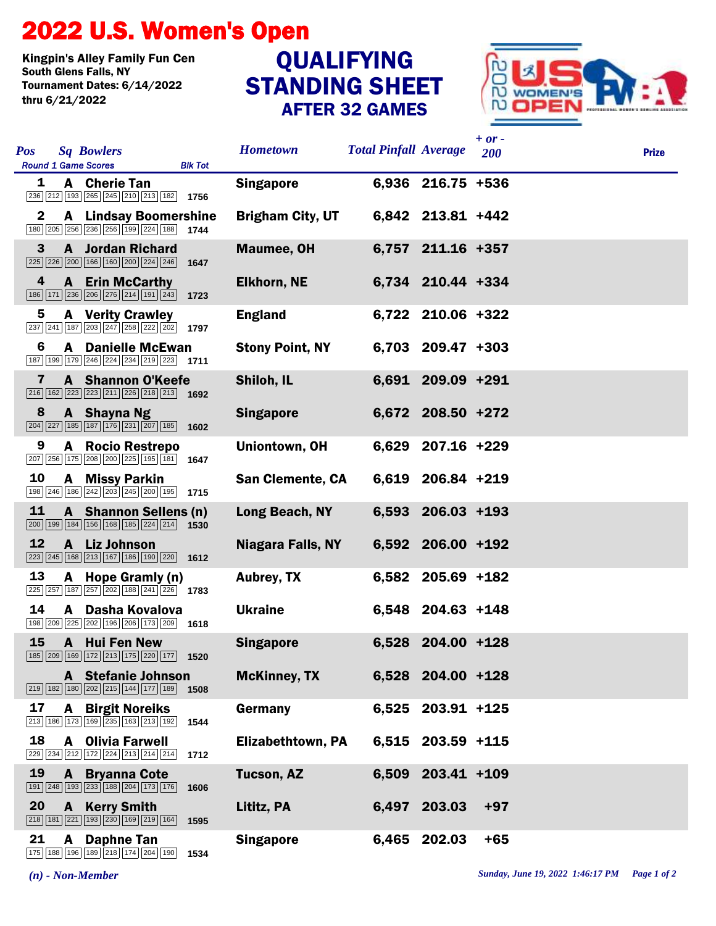## 2022 U.S. Women's Open

Kingpin's Alley Family Fun Cen Tournament Dates: 6/14/2022 thru 6/21/2022

## STANDING SHEET AFTER 32 GAMES QUALIFYING



| <b>Sq Bowlers</b><br><b>Pos</b><br><b>Round 1 Game Scores</b><br><b>Blk Tot</b>                                                                                                     | <b>Hometown</b>         | <b>Total Pinfall Average</b> |                     | $+$ or $-$<br>200 | <b>Prize</b> |
|-------------------------------------------------------------------------------------------------------------------------------------------------------------------------------------|-------------------------|------------------------------|---------------------|-------------------|--------------|
| A Cherie Tan<br>1<br>236 212 193 265 245 210 213 182 1756                                                                                                                           | <b>Singapore</b>        |                              | 6,936 216.75 +536   |                   |              |
| $\mathbf{2}$<br><b>A</b> Lindsay Boomershine<br>180 205 256 236 256 199 224 188 1744                                                                                                | <b>Brigham City, UT</b> |                              | 6,842 213.81 +442   |                   |              |
| 3<br><b>A</b> Jordan Richard<br>$\boxed{225}$ $\boxed{226}$ $\boxed{200}$ $\boxed{166}$ $\boxed{160}$ $\boxed{200}$ $\boxed{224}$ $\boxed{246}$ <b>1647</b>                         | <b>Maumee, OH</b>       |                              | 6,757 211.16 +357   |                   |              |
| 4<br><b>A</b> Erin McCarthy<br>186 171 236 206 276 214 191 243<br>1723                                                                                                              | <b>Elkhorn, NE</b>      |                              | 6,734 210.44 +334   |                   |              |
| 5<br><b>A</b> Verity Crawley<br>$\overline{237}$ $\overline{241}$ $\overline{187}$ $\overline{203}$ $\overline{247}$ $\overline{258}$ $\overline{222}$ $\overline{202}$ <b>1797</b> | <b>England</b>          |                              | 6,722 210.06 +322   |                   |              |
| <b>A</b> Danielle McEwan<br>6<br>187 199 179 246 224 234 219 223 1711                                                                                                               | <b>Stony Point, NY</b>  |                              | 6,703 209.47 +303   |                   |              |
| $\mathbf{7}$<br><b>A</b> Shannon O'Keefe<br>$\boxed{216}$ $\boxed{162}$ $\boxed{223}$ $\boxed{223}$ $\boxed{211}$ $\boxed{226}$ $\boxed{218}$ $\boxed{213}$ <b>1692</b>             | Shiloh, IL              |                              | 6,691 209.09 +291   |                   |              |
| 8<br>A Shayna Ng<br>$\boxed{204}\boxed{227}\boxed{185}\boxed{187}\boxed{176}\boxed{231}\boxed{207}\boxed{185}$ 1602                                                                 | <b>Singapore</b>        |                              | 6,672 208.50 +272   |                   |              |
| A Rocio Restrepo<br>9<br>$\boxed{207}$ $\boxed{256}$ $\boxed{175}$ $\boxed{208}$ $\boxed{200}$ $\boxed{225}$ $\boxed{195}$ $\boxed{181}$ <b>1647</b>                                | Uniontown, OH           |                              | 6,629 207.16 +229   |                   |              |
| 10<br>A Missy Parkin<br>$\boxed{198}\boxed{246}\boxed{186}\boxed{242}\boxed{203}\boxed{245}\boxed{200}\boxed{195}$ 1715                                                             | <b>San Clemente, CA</b> |                              | 6,619 206.84 +219   |                   |              |
| 11<br>A Shannon Sellens (n)<br>$\boxed{200}$ $\boxed{199}$ $\boxed{184}$ $\boxed{156}$ $\boxed{168}$ $\boxed{185}$ $\boxed{224}$ $\boxed{214}$ <b>1530</b>                          | Long Beach, NY          |                              | 6,593 206.03 +193   |                   |              |
| 12<br>A Liz Johnson<br>$\boxed{223}\boxed{245}\boxed{168}\boxed{213}\boxed{167}\boxed{186}\boxed{190}\boxed{220}$ 1612                                                              | Niagara Falls, NY       |                              | 6,592 206.00 +192   |                   |              |
| 13<br>A Hope Gramly (n)<br>$\sqrt{225}\sqrt{257}\sqrt{187}\sqrt{257}\sqrt{202}\sqrt{188}\sqrt{241}\sqrt{226}$ 1783                                                                  | <b>Aubrey, TX</b>       |                              | 6,582 205.69 +182   |                   |              |
| 14<br>A Dasha Kovalova<br>$\boxed{198}\boxed{209}\boxed{225}\boxed{202}\boxed{196}\boxed{206}\boxed{173}\boxed{209}$ 1618                                                           | <b>Ukraine</b>          |                              | 6,548 204.63 +148   |                   |              |
| 15<br>A Hui Fen New<br>185 209 169 172 213 175 220 177 1520                                                                                                                         | <b>Singapore</b>        |                              | 6,528 204.00 +128   |                   |              |
| A Stefanie Johnson<br>219 182 180 202 215 144 177 189<br>1508                                                                                                                       | <b>McKinney, TX</b>     |                              | 6,528 204.00 +128   |                   |              |
| 17<br><b>A</b> Birgit Noreiks<br>213 186 173 169 235 163 213 192<br>1544                                                                                                            | Germany                 |                              | 6,525 203.91 +125   |                   |              |
| 18<br><b>A</b> Olivia Farwell<br>$\boxed{229}$ $\boxed{234}$ $\boxed{212}$ $\boxed{172}$ $\boxed{224}$ $\boxed{213}$ $\boxed{214}$ $\boxed{214}$ 1712                               | Elizabethtown, PA       |                              | $6,515$ 203.59 +115 |                   |              |
| 19<br><b>A</b> Bryanna Cote<br>191 248 193 233 188 204 173 176<br>1606                                                                                                              | Tucson, AZ              |                              | 6,509 203.41 +109   |                   |              |
| 20<br>A Kerry Smith<br>218 181 221 193 230 169 219 164<br>1595                                                                                                                      | Lititz, PA              |                              | 6,497 203.03        | $+97$             |              |
| 21<br>A Daphne Tan<br>175   188   196   189   218   174   204   190   1534                                                                                                          | <b>Singapore</b>        |                              | 6,465 202.03        | $+65$             |              |